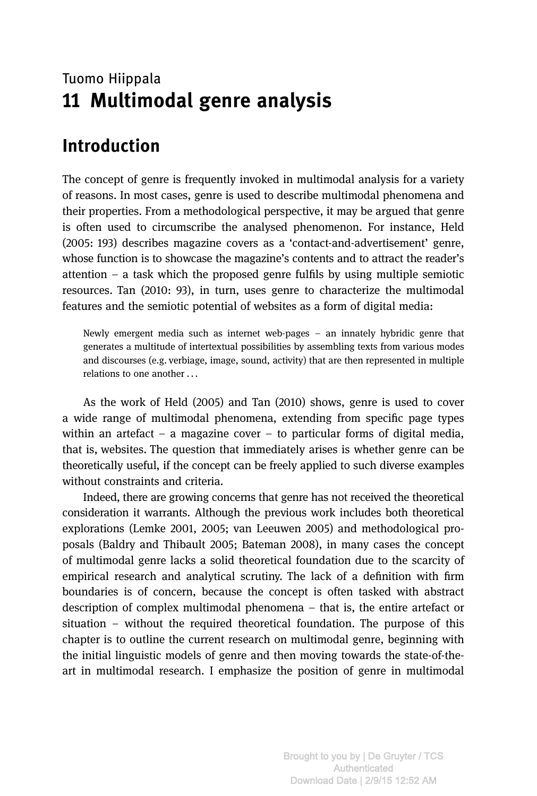### Tuomo Hiippala 11 Multimodal genre analysis

# Introduction

The concept of genre is frequently invoked in multimodal analysis for a variety of reasons. In most cases, genre is used to describe multimodal phenomena and their properties. From a methodological perspective, it may be argued that genre is often used to circumscribe the analysed phenomenon. For instance, Held (2005: 193) describes magazine covers as a 'contact-and-advertisement' genre, whose function is to showcase the magazine's contents and to attract the reader'<sup>s</sup> attention – a task which the proposed genre fulfils by using multiple semiotic resources. Tan (2010: 93), in turn, uses genre to characterize the multimodal features and the semiotic potential of websites as a form of digital media:

Newly emergent media such as internet web-pages – an innately hybridic genre that generates a multitude of intertextual possibilities by assembling texts from various modes and discourses (e.g. verbiage, image, sound, activity) that are then represented in multiple relations to one another . . .

As the work of Held (2005) and Tan (2010) shows, genre is used to cover a wide range of multimodal phenomena, extending from specific page types within an artefact – a magazine cover – to particular forms of digital media, that is, websites. The question that immediately arises is whether genre can be theoretically useful, if the concept can be freely applied to such diverse examples without constraints and criteria.

Indeed, there are growing concerns that genre has not received the theoretical consideration it warrants. Although the previous work includes both theoretical explorations (Lemke 2001, 2005; van Leeuwen 2005) and methodological proposals (Baldry and Thibault 2005; Bateman 2008), in many cases the concept of multimodal genre lacks a solid theoretical foundation due to the scarcity of empirical research and analytical scrutiny. The lack of a definition with firm boundaries is of concern, because the concept is often tasked with abstract description of complex multimodal phenomena – that is, the entire artefact or situation – without the required theoretical foundation. The purpose of this chapter is to outline the current research on multimodal genre, beginning with the initial linguistic models of genre and then moving towards the state-of-theart in multimodal research. I emphasize the position of genre in multimodal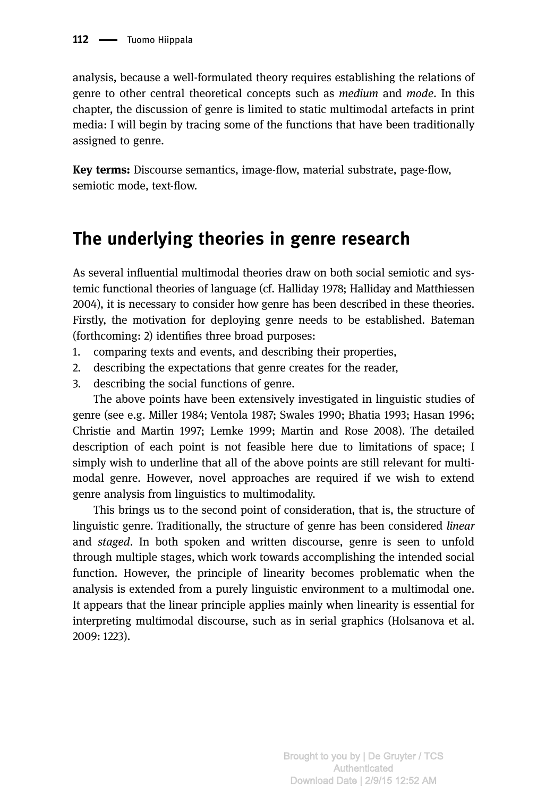analysis, because a well-formulated theory requires establishing the relations of genre to other central theoretical concepts such as *medium* and *mode*. In this chapter, the discussion of genre is limited to static multimodal artefacts in print media: I will begin by tracing some of the functions that have been traditionally assigned to genre.

Key terms: Discourse semantics, image-flow, material substrate, page-flow, semiotic mode, text-flow.

# The underlying theories in genre research

As several influential multimodal theories draw on both social semiotic and systemic functional theories of language (cf. Halliday 1978; Halliday and Matthiessen 2004), it is necessary to consider how genre has been described in these theories. Firstly, the motivation for deploying genre needs to be established. Bateman (forthcoming: 2) identifies three broad purposes:

- 1. comparing texts and events, and describing their properties,
- 2. describing the expectations that genre creates for the reader,
- 3. describing the social functions of genre.

The above points have been extensively investigated in linguistic studies of genre (see e.g. Miller 1984; Ventola 1987; Swales 1990; Bhatia 1993; Hasan 1996; Christie and Martin 1997; Lemke 1999; Martin and Rose 2008). The detailed description of each point is not feasible here due to limitations of space; I simply wish to underline that all of the above points are still relevant for multimodal genre. However, novel approaches are required if we wish to extend genre analysis from linguistics to multimodality.

This brings us to the second point of consideration, that is, the structure of linguistic genre. Traditionally, the structure of genre has been considered linear and staged. In both spoken and written discourse, genre is seen to unfold through multiple stages, which work towards accomplishing the intended social function. However, the principle of linearity becomes problematic when the analysis is extended from a purely linguistic environment to a multimodal one. It appears that the linear principle applies mainly when linearity is essential for interpreting multimodal discourse, such as in serial graphics (Holsanova et al. 2009: 1223).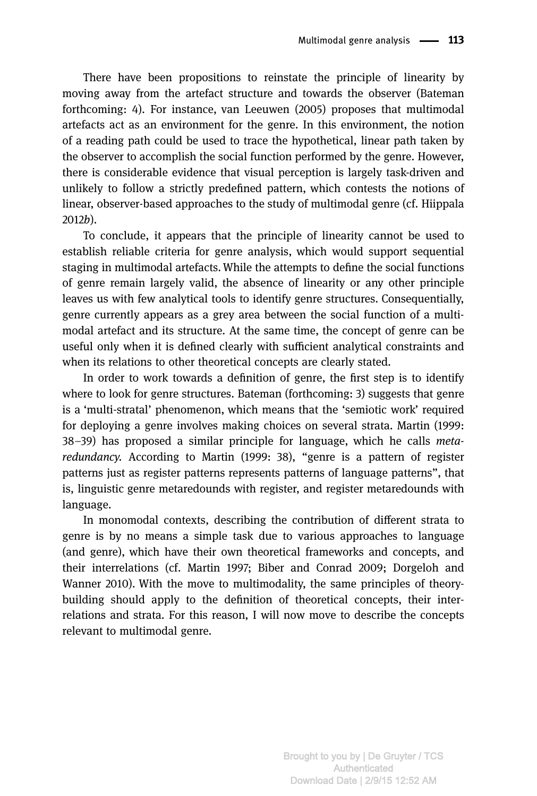There have been propositions to reinstate the principle of linearity by moving away from the artefact structure and towards the observer (Bateman forthcoming: 4). For instance, van Leeuwen (2005) proposes that multimodal artefacts act as an environment for the genre. In this environment, the notion of a reading path could be used to trace the hypothetical, linear path taken by the observer to accomplish the social function performed by the genre. However, there is considerable evidence that visual perception is largely task-driven and unlikely to follow a strictly predefined pattern, which contests the notions of linear, observer-based approaches to the study of multimodal genre (cf. Hiippala 2012b).

To conclude, it appears that the principle of linearity cannot be used to establish reliable criteria for genre analysis, which would support sequential staging in multimodal artefacts. While the attempts to define the social functions of genre remain largely valid, the absence of linearity or any other principle leaves us with few analytical tools to identify genre structures. Consequentially, genre currently appears as a grey area between the social function of a multimodal artefact and its structure. At the same time, the concept of genre can be useful only when it is defined clearly with sufficient analytical constraints and when its relations to other theoretical concepts are clearly stated.

In order to work towards a definition of genre, the first step is to identify where to look for genre structures. Bateman (forthcoming: 3) suggests that genre is a 'multi-stratal' phenomenon, which means that the 'semiotic work' required for deploying a genre involves making choices on several strata. Martin (1999: <sup>38</sup>–39) has proposed a similar principle for language, which he calls metaredundancy. According to Martin (1999: 38), "genre is a pattern of register patterns just as register patterns represents patterns of language patterns", that is, linguistic genre metaredounds with register, and register metaredounds with language.

In monomodal contexts, describing the contribution of different strata to genre is by no means a simple task due to various approaches to language (and genre), which have their own theoretical frameworks and concepts, and their interrelations (cf. Martin 1997; Biber and Conrad 2009; Dorgeloh and Wanner 2010). With the move to multimodality, the same principles of theorybuilding should apply to the definition of theoretical concepts, their interrelations and strata. For this reason, I will now move to describe the concepts relevant to multimodal genre.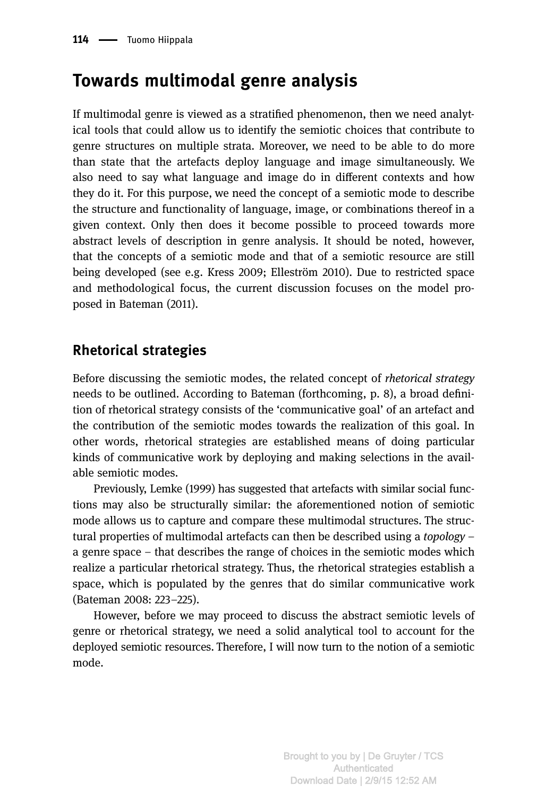# Towards multimodal genre analysis

If multimodal genre is viewed as a stratified phenomenon, then we need analytical tools that could allow us to identify the semiotic choices that contribute to genre structures on multiple strata. Moreover, we need to be able to do more than state that the artefacts deploy language and image simultaneously. We also need to say what language and image do in different contexts and how they do it. For this purpose, we need the concept of a semiotic mode to describe the structure and functionality of language, image, or combinations thereof in a given context. Only then does it become possible to proceed towards more abstract levels of description in genre analysis. It should be noted, however, that the concepts of a semiotic mode and that of a semiotic resource are still being developed (see e.g. Kress 2009; Elleström 2010). Due to restricted space and methodological focus, the current discussion focuses on the model proposed in Bateman (2011).

### Rhetorical strategies

Before discussing the semiotic modes, the related concept of rhetorical strategy needs to be outlined. According to Bateman (forthcoming, p. 8), a broad definition of rhetorical strategy consists of the 'communicative goal' of an artefact and the contribution of the semiotic modes towards the realization of this goal. In other words, rhetorical strategies are established means of doing particular kinds of communicative work by deploying and making selections in the available semiotic modes.

Previously, Lemke (1999) has suggested that artefacts with similar social functions may also be structurally similar: the aforementioned notion of semiotic mode allows us to capture and compare these multimodal structures. The structural properties of multimodal artefacts can then be described using a topology – a genre space – that describes the range of choices in the semiotic modes which realize a particular rhetorical strategy. Thus, the rhetorical strategies establish a space, which is populated by the genres that do similar communicative work (Bateman 2008: 223–225).

However, before we may proceed to discuss the abstract semiotic levels of genre or rhetorical strategy, we need a solid analytical tool to account for the deployed semiotic resources. Therefore, I will now turn to the notion of a semiotic mode.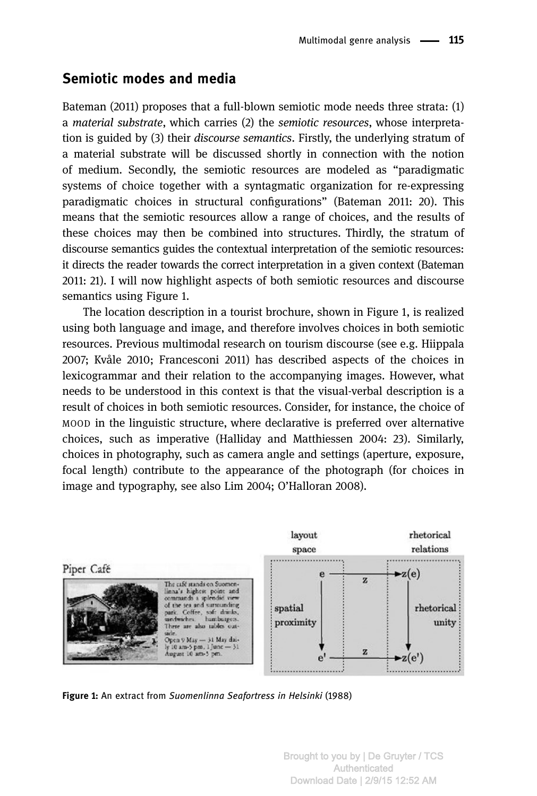#### Semiotic modes and media

Bateman (2011) proposes that a full-blown semiotic mode needs three strata: (1) a material substrate, which carries (2) the semiotic resources, whose interpretation is guided by (3) their discourse semantics. Firstly, the underlying stratum of a material substrate will be discussed shortly in connection with the notion of medium. Secondly, the semiotic resources are modeled as "paradigmatic systems of choice together with a syntagmatic organization for re-expressing paradigmatic choices in structural configurations" (Bateman 2011: 20). This means that the semiotic resources allow a range of choices, and the results of these choices may then be combined into structures. Thirdly, the stratum of discourse semantics guides the contextual interpretation of the semiotic resources: it directs the reader towards the correct interpretation in a given context (Bateman 2011: 21). I will now highlight aspects of both semiotic resources and discourse semantics using Figure 1.

The location description in a tourist brochure, shown in Figure 1, is realized using both language and image, and therefore involves choices in both semiotic resources. Previous multimodal research on tourism discourse (see e.g. Hiippala 2007; Kvåle 2010; Francesconi 2011) has described aspects of the choices in lexicogrammar and their relation to the accompanying images. However, what needs to be understood in this context is that the visual-verbal description is a result of choices in both semiotic resources. Consider, for instance, the choice of MOOD in the linguistic structure, where declarative is preferred over alternative choices, such as imperative (Halliday and Matthiessen 2004: 23). Similarly, choices in photography, such as camera angle and settings (aperture, exposure, focal length) contribute to the appearance of the photograph (for choices in image and typography, see also Lim 2004; O'Halloran 2008).



Figure 1: An extract from Suomenlinna Seafortress in Helsinki (1988)

Brought to you by | De Gruyter / TCS Authenticated Download Date | 2/9/15 12:52 AM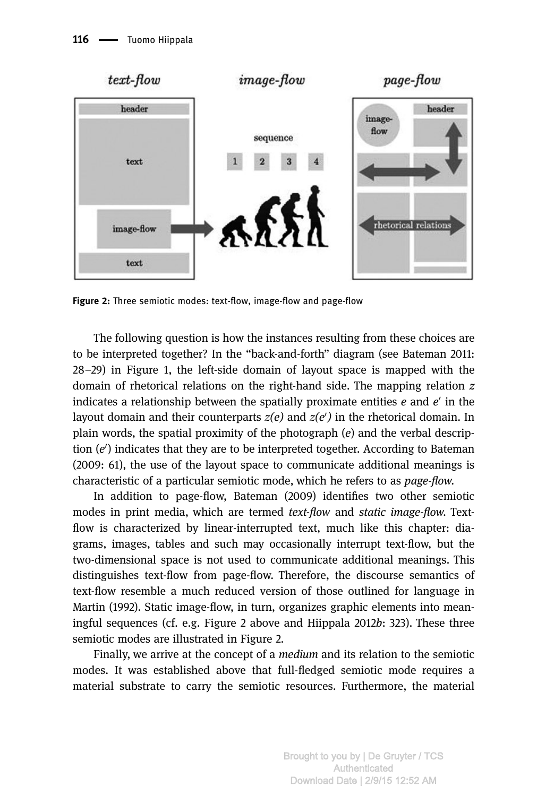

Figure 2: Three semiotic modes: text-flow, image-flow and page-flow

The following question is how the instances resulting from these choices are to be interpreted together? In the "back-and-forth" diagram (see Bateman 2011: <sup>28</sup>–29) in Figure 1, the left-side domain of layout space is mapped with the domain of rhetorical relations on the right-hand side. The mapping relation z indicates a relationship between the spatially proximate entities  $e$  and  $e'$  in the layout domain and their counterparts  $z(e)$  and  $z(e')$  in the rhetorical domain. In plain words, the spatial proximity of the photograph  $(e)$  and the verbal description  $(e')$  indicates that they are to be interpreted together. According to Bateman (2009: 61), the use of the layout space to communicate additional meanings is characteristic of a particular semiotic mode, which he refers to as page-flow.

In addition to page-flow, Bateman (2009) identifies two other semiotic modes in print media, which are termed text-flow and static image-flow. Textflow is characterized by linear-interrupted text, much like this chapter: diagrams, images, tables and such may occasionally interrupt text-flow, but the two-dimensional space is not used to communicate additional meanings. This distinguishes text-flow from page-flow. Therefore, the discourse semantics of text-flow resemble a much reduced version of those outlined for language in Martin (1992). Static image-flow, in turn, organizes graphic elements into meaningful sequences (cf. e.g. Figure 2 above and Hiippala 2012b: 323). These three semiotic modes are illustrated in Figure 2.

Finally, we arrive at the concept of a medium and its relation to the semiotic modes. It was established above that full-fledged semiotic mode requires a material substrate to carry the semiotic resources. Furthermore, the material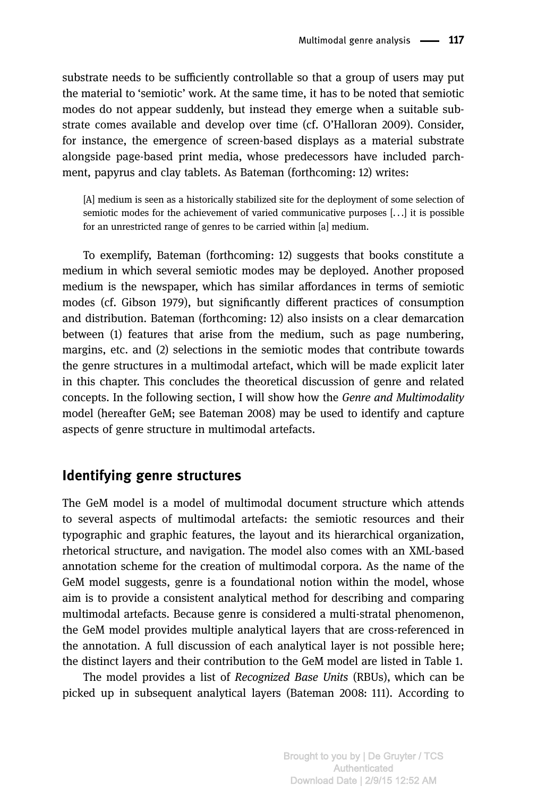substrate needs to be sufficiently controllable so that a group of users may put the material to 'semiotic' work. At the same time, it has to be noted that semiotic modes do not appear suddenly, but instead they emerge when a suitable substrate comes available and develop over time (cf. O'Halloran 2009). Consider, for instance, the emergence of screen-based displays as a material substrate alongside page-based print media, whose predecessors have included parchment, papyrus and clay tablets. As Bateman (forthcoming: 12) writes:

[A] medium is seen as a historically stabilized site for the deployment of some selection of semiotic modes for the achievement of varied communicative purposes [. . .] it is possible for an unrestricted range of genres to be carried within [a] medium.

To exemplify, Bateman (forthcoming: 12) suggests that books constitute a medium in which several semiotic modes may be deployed. Another proposed medium is the newspaper, which has similar affordances in terms of semiotic modes (cf. Gibson 1979), but significantly different practices of consumption and distribution. Bateman (forthcoming: 12) also insists on a clear demarcation between (1) features that arise from the medium, such as page numbering, margins, etc. and (2) selections in the semiotic modes that contribute towards the genre structures in a multimodal artefact, which will be made explicit later in this chapter. This concludes the theoretical discussion of genre and related concepts. In the following section, I will show how the Genre and Multimodality model (hereafter GeM; see Bateman 2008) may be used to identify and capture aspects of genre structure in multimodal artefacts.

#### Identifying genre structures

The GeM model is a model of multimodal document structure which attends to several aspects of multimodal artefacts: the semiotic resources and their typographic and graphic features, the layout and its hierarchical organization, rhetorical structure, and navigation. The model also comes with an XML-based annotation scheme for the creation of multimodal corpora. As the name of the GeM model suggests, genre is a foundational notion within the model, whose aim is to provide a consistent analytical method for describing and comparing multimodal artefacts. Because genre is considered a multi-stratal phenomenon, the GeM model provides multiple analytical layers that are cross-referenced in the annotation. A full discussion of each analytical layer is not possible here; the distinct layers and their contribution to the GeM model are listed in Table 1.

The model provides a list of Recognized Base Units (RBUs), which can be picked up in subsequent analytical layers (Bateman 2008: 111). According to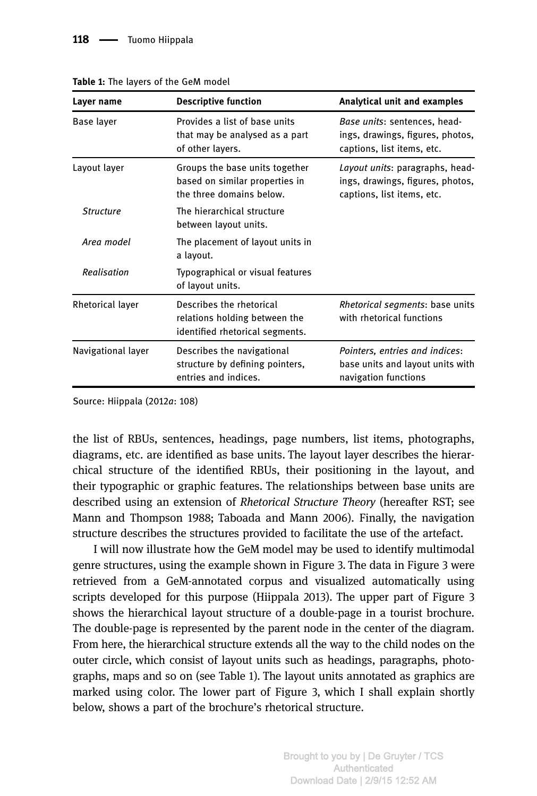| Layer name         | <b>Descriptive function</b>                                                                  | Analytical unit and examples                                                                      |
|--------------------|----------------------------------------------------------------------------------------------|---------------------------------------------------------------------------------------------------|
| Base layer         | Provides a list of base units<br>that may be analysed as a part<br>of other layers.          | Base units: sentences, head-<br>ings, drawings, figures, photos,<br>captions, list items, etc.    |
| Layout layer       | Groups the base units together<br>based on similar properties in<br>the three domains below. | Layout units: paragraphs, head-<br>ings, drawings, figures, photos,<br>captions, list items, etc. |
| <b>Structure</b>   | The hierarchical structure<br>between layout units.                                          |                                                                                                   |
| Area model         | The placement of layout units in<br>a layout.                                                |                                                                                                   |
| Realisation        | Typographical or visual features<br>of layout units.                                         |                                                                                                   |
| Rhetorical layer   | Describes the rhetorical<br>relations holding between the<br>identified rhetorical segments. | <i>Rhetorical segments: base units</i><br>with rhetorical functions                               |
| Navigational layer | Describes the navigational<br>structure by defining pointers,<br>entries and indices.        | Pointers, entries and indices:<br>base units and layout units with<br>navigation functions        |

Table 1: The layers of the GeM model

Source: Hiippala (2012a: 108)

the list of RBUs, sentences, headings, page numbers, list items, photographs, diagrams, etc. are identified as base units. The layout layer describes the hierarchical structure of the identified RBUs, their positioning in the layout, and their typographic or graphic features. The relationships between base units are described using an extension of Rhetorical Structure Theory (hereafter RST; see Mann and Thompson 1988; Taboada and Mann 2006). Finally, the navigation structure describes the structures provided to facilitate the use of the artefact.

I will now illustrate how the GeM model may be used to identify multimodal genre structures, using the example shown in Figure 3. The data in Figure 3 were retrieved from a GeM-annotated corpus and visualized automatically using scripts developed for this purpose (Hiippala 2013). The upper part of Figure 3 shows the hierarchical layout structure of a double-page in a tourist brochure. The double-page is represented by the parent node in the center of the diagram. From here, the hierarchical structure extends all the way to the child nodes on the outer circle, which consist of layout units such as headings, paragraphs, photographs, maps and so on (see Table 1). The layout units annotated as graphics are marked using color. The lower part of Figure 3, which I shall explain shortly below, shows a part of the brochure's rhetorical structure.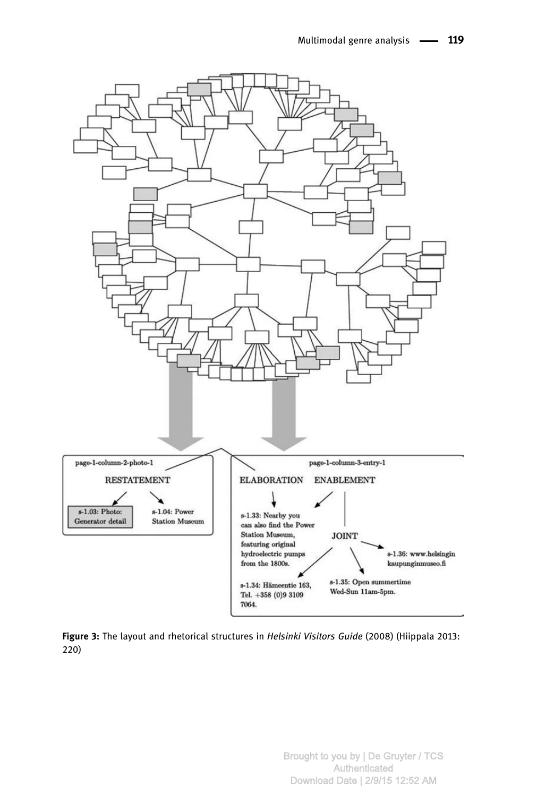

Figure 3: The layout and rhetorical structures in Helsinki Visitors Guide (2008) (Hiippala 2013: 220)

> Brought to you by | De Gruyter / TCS **Authenticated** Download Date | 2/9/15 12:52 AM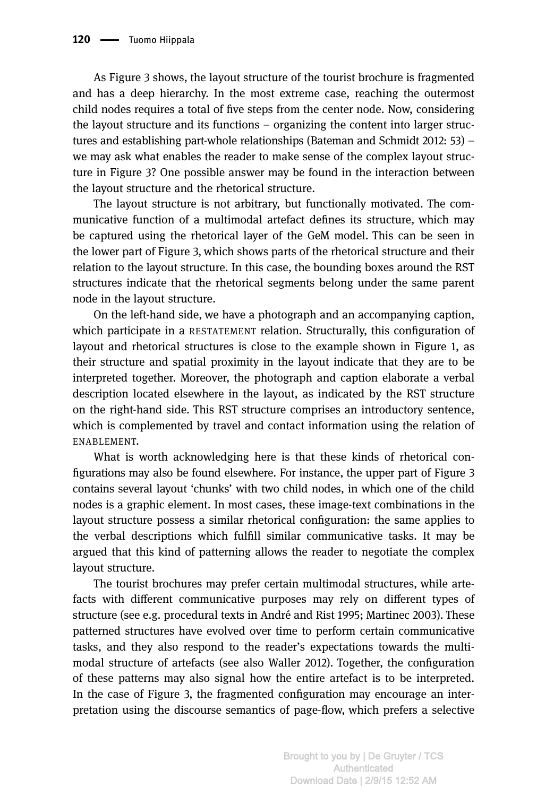As Figure 3 shows, the layout structure of the tourist brochure is fragmented and has a deep hierarchy. In the most extreme case, reaching the outermost child nodes requires a total of five steps from the center node. Now, considering the layout structure and its functions – organizing the content into larger structures and establishing part-whole relationships (Bateman and Schmidt 2012: 53) – we may ask what enables the reader to make sense of the complex layout structure in Figure 3? One possible answer may be found in the interaction between the layout structure and the rhetorical structure.

The layout structure is not arbitrary, but functionally motivated. The communicative function of a multimodal artefact defines its structure, which may be captured using the rhetorical layer of the GeM model. This can be seen in the lower part of Figure 3, which shows parts of the rhetorical structure and their relation to the layout structure. In this case, the bounding boxes around the RST structures indicate that the rhetorical segments belong under the same parent node in the layout structure.

On the left-hand side, we have a photograph and an accompanying caption, which participate in a RESTATEMENT relation. Structurally, this configuration of layout and rhetorical structures is close to the example shown in Figure 1, as their structure and spatial proximity in the layout indicate that they are to be interpreted together. Moreover, the photograph and caption elaborate a verbal description located elsewhere in the layout, as indicated by the RST structure on the right-hand side. This RST structure comprises an introductory sentence, which is complemented by travel and contact information using the relation of ENABLEMENT.

What is worth acknowledging here is that these kinds of rhetorical configurations may also be found elsewhere. For instance, the upper part of Figure 3 contains several layout 'chunks' with two child nodes, in which one of the child nodes is a graphic element. In most cases, these image-text combinations in the layout structure possess a similar rhetorical configuration: the same applies to the verbal descriptions which fulfill similar communicative tasks. It may be argued that this kind of patterning allows the reader to negotiate the complex layout structure.

The tourist brochures may prefer certain multimodal structures, while artefacts with different communicative purposes may rely on different types of structure (see e.g. procedural texts in André and Rist 1995; Martinec 2003). These patterned structures have evolved over time to perform certain communicative tasks, and they also respond to the reader's expectations towards the multimodal structure of artefacts (see also Waller 2012). Together, the configuration of these patterns may also signal how the entire artefact is to be interpreted. In the case of Figure 3, the fragmented configuration may encourage an interpretation using the discourse semantics of page-flow, which prefers a selective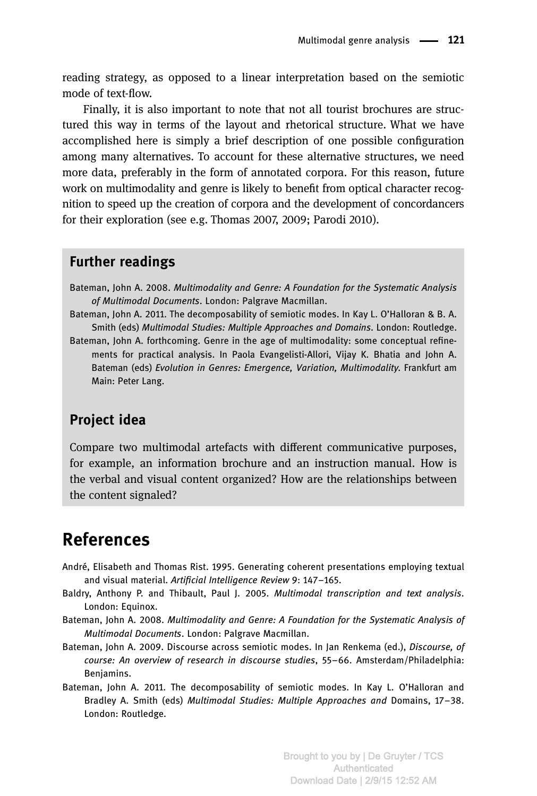reading strategy, as opposed to a linear interpretation based on the semiotic mode of text-flow.

Finally, it is also important to note that not all tourist brochures are structured this way in terms of the layout and rhetorical structure. What we have accomplished here is simply a brief description of one possible configuration among many alternatives. To account for these alternative structures, we need more data, preferably in the form of annotated corpora. For this reason, future work on multimodality and genre is likely to benefit from optical character recognition to speed up the creation of corpora and the development of concordancers for their exploration (see e.g. Thomas 2007, 2009; Parodi 2010).

#### Further readings

- Bateman, John A. 2008. Multimodality and Genre: A Foundation for the Systematic Analysis of Multimodal Documents. London: Palgrave Macmillan.
- Bateman, John A. 2011. The decomposability of semiotic modes. In Kay L. O'Halloran & B. A. Smith (eds) Multimodal Studies: Multiple Approaches and Domains. London: Routledge.
- Bateman, John A. forthcoming. Genre in the age of multimodality: some conceptual refinements for practical analysis. In Paola Evangelisti-Allori, Vijay K. Bhatia and John A. Bateman (eds) Evolution in Genres: Emergence, Variation, Multimodality. Frankfurt am Main: Peter Lang.

#### Project idea

Compare two multimodal artefacts with different communicative purposes, for example, an information brochure and an instruction manual. How is the verbal and visual content organized? How are the relationships between the content signaled?

### References

- André, Elisabeth and Thomas Rist. 1995. Generating coherent presentations employing textual and visual material. Artificial Intelligence Review 9: 147–165.
- Baldry, Anthony P. and Thibault, Paul J. 2005. Multimodal transcription and text analysis. London: Equinox.
- Bateman, John A. 2008. Multimodality and Genre: A Foundation for the Systematic Analysis of Multimodal Documents. London: Palgrave Macmillan.
- Bateman, John A. 2009. Discourse across semiotic modes. In Jan Renkema (ed.), *Discourse, of* course: An overview of research in discourse studies, 55–66. Amsterdam/Philadelphia: Benjamins.
- Bateman, John A. 2011. The decomposability of semiotic modes. In Kay L. O'Halloran and Bradley A. Smith (eds) Multimodal Studies: Multiple Approaches and Domains, 17–38. London: Routledge.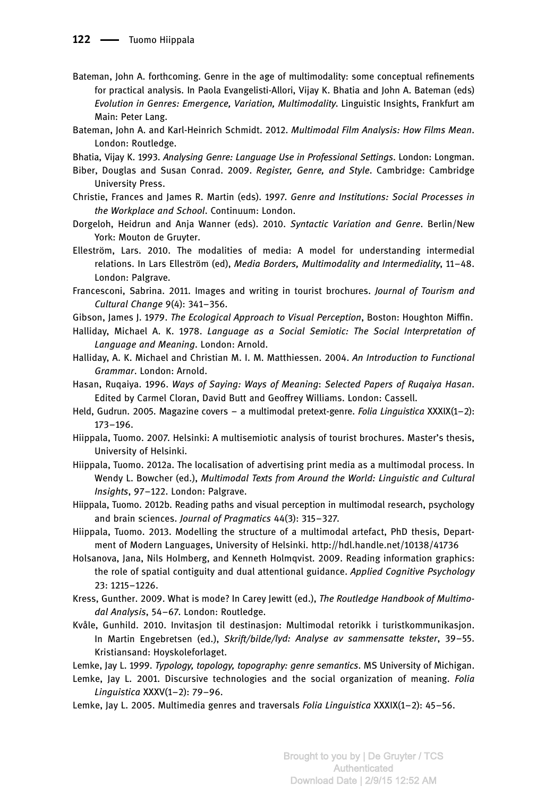- Bateman, John A. forthcoming. Genre in the age of multimodality: some conceptual refinements for practical analysis. In Paola Evangelisti-Allori, Vijay K. Bhatia and John A. Bateman (eds) Evolution in Genres: Emergence, Variation, Multimodality. Linguistic Insights, Frankfurt am Main: Peter Lang.
- Bateman, John A. and Karl-Heinrich Schmidt. 2012. Multimodal Film Analysis: How Films Mean. London: Routledge.
- Bhatia, Vijay K. 1993. Analysing Genre: Language Use in Professional Settings. London: Longman.
- Biber, Douglas and Susan Conrad. 2009. Register, Genre, and Style. Cambridge: Cambridge University Press.
- Christie, Frances and James R. Martin (eds). 1997. Genre and Institutions: Social Processes in the Workplace and School. Continuum: London.
- Dorgeloh, Heidrun and Anja Wanner (eds). 2010. Syntactic Variation and Genre. Berlin/New York: Mouton de Gruyter.
- Elleström, Lars. 2010. The modalities of media: A model for understanding intermedial relations. In Lars Elleström (ed), Media Borders, Multimodality and Intermediality, 11–48. London: Palgrave.
- Francesconi, Sabrina. 2011. Images and writing in tourist brochures. Journal of Tourism and Cultural Change 9(4): 341–356.
- Gibson, James J. 1979. The Ecological Approach to Visual Perception, Boston: Houghton Miffin.
- Halliday, Michael A. K. 1978. Language as a Social Semiotic: The Social Interpretation of Language and Meaning. London: Arnold.
- Halliday, A. K. Michael and Christian M. I. M. Matthiessen. 2004. An Introduction to Functional Grammar. London: Arnold.
- Hasan, Ruqaiya. 1996. Ways of Saying: Ways of Meaning: Selected Papers of Ruqaiya Hasan. Edited by Carmel Cloran, David Butt and Geoffrey Williams. London: Cassell.
- Held, Gudrun. 2005. Magazine covers a multimodal pretext-genre. Folia Linquistica XXXIX(1-2): 173–196.
- Hiippala, Tuomo. 2007. Helsinki: A multisemiotic analysis of tourist brochures. Master's thesis, University of Helsinki.
- Hiippala, Tuomo. 2012a. The localisation of advertising print media as a multimodal process. In Wendy L. Bowcher (ed.), Multimodal Texts from Around the World: Linguistic and Cultural Insights, 97–122. London: Palgrave.
- Hiippala, Tuomo. 2012b. Reading paths and visual perception in multimodal research, psychology and brain sciences. Journal of Pragmatics 44(3): 315–327.
- Hiippala, Tuomo. 2013. Modelling the structure of a multimodal artefact, PhD thesis, Department of Modern Languages, University of Helsinki. http://hdl.handle.net/10138/41736
- Holsanova, Jana, Nils Holmberg, and Kenneth Holmqvist. 2009. Reading information graphics: the role of spatial contiguity and dual attentional guidance. Applied Cognitive Psychology 23: 1215–1226.
- Kress, Gunther. 2009. What is mode? In Carey Jewitt (ed.), The Routledge Handbook of Multimodal Analysis, 54–67. London: Routledge.
- Kvåle, Gunhild. 2010. Invitasjon til destinasjon: Multimodal retorikk i turistkommunikasjon. In Martin Engebretsen (ed.), Skrift/bilde/lyd: Analyse av sammensatte tekster, 39-55. Kristiansand: Hoyskoleforlaget.
- Lemke, Jay L. 1999. Typology, topology, topography: genre semantics. MS University of Michigan.
- Lemke, Jay L. 2001. Discursive technologies and the social organization of meaning. Folia Linguistica XXXV(1–2): 79–96.
- Lemke, Jay L. 2005. Multimedia genres and traversals Folia Linguistica XXXIX(1-2): 45-56.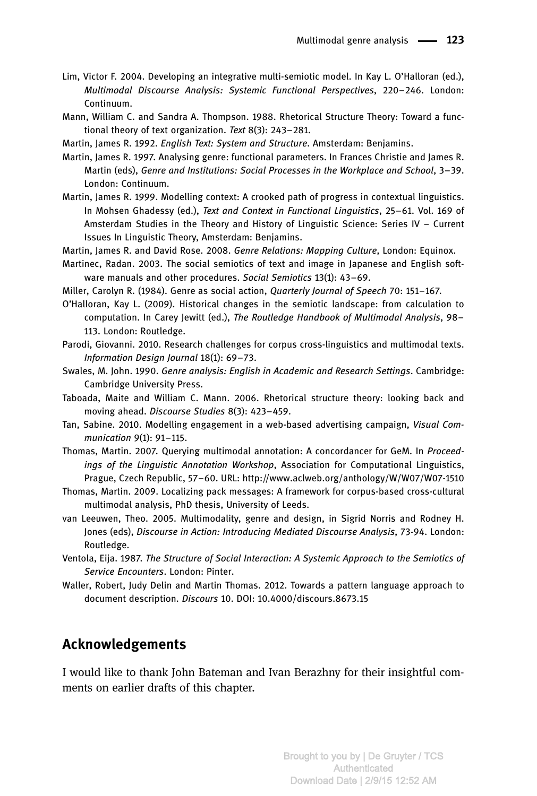- Lim, Victor F. 2004. Developing an integrative multi-semiotic model. In Kay L. O'Halloran (ed.), Multimodal Discourse Analysis: Systemic Functional Perspectives, 220–246. London: Continuum.
- Mann, William C. and Sandra A. Thompson. 1988. Rhetorical Structure Theory: Toward a functional theory of text organization. Text 8(3): 243-281.
- Martin, James R. 1992. English Text: System and Structure. Amsterdam: Benjamins.
- Martin, James R. 1997. Analysing genre: functional parameters. In Frances Christie and James R. Martin (eds), Genre and Institutions: Social Processes in the Workplace and School, 3–39. London: Continuum.
- Martin, James R. 1999. Modelling context: A crooked path of progress in contextual linguistics. In Mohsen Ghadessy (ed.), Text and Context in Functional Linguistics, 25–61. Vol. 169 of Amsterdam Studies in the Theory and History of Linguistic Science: Series IV – Current Issues In Linguistic Theory, Amsterdam: Benjamins.
- Martin, James R. and David Rose. 2008. Genre Relations: Mapping Culture, London: Equinox.
- Martinec, Radan. 2003. The social semiotics of text and image in Japanese and English software manuals and other procedures. Social Semiotics 13(1): 43-69.
- Miller, Carolyn R. (1984). Genre as social action, Quarterly Journal of Speech 70: 151–167.
- O'Halloran, Kay L. (2009). Historical changes in the semiotic landscape: from calculation to computation. In Carey Jewitt (ed.), The Routledge Handbook of Multimodal Analysis, 98– 113. London: Routledge.
- Parodi, Giovanni. 2010. Research challenges for corpus cross-linguistics and multimodal texts. Information Design Journal 18(1): 69–73.
- Swales, M. John. 1990. Genre analysis: English in Academic and Research Settings. Cambridge: Cambridge University Press.
- Taboada, Maite and William C. Mann. 2006. Rhetorical structure theory: looking back and moving ahead. Discourse Studies 8(3): 423–459.
- Tan, Sabine. 2010. Modelling engagement in a web-based advertising campaign, Visual Communication 9(1): 91–115.
- Thomas, Martin. 2007. Querying multimodal annotation: A concordancer for GeM. In Proceedings of the Linguistic Annotation Workshop, Association for Computational Linguistics, Prague, Czech Republic, 57–60. URL: http://www.aclweb.org/anthology/W/W07/W07-1510
- Thomas, Martin. 2009. Localizing pack messages: A framework for corpus-based cross-cultural multimodal analysis, PhD thesis, University of Leeds.
- van Leeuwen, Theo. 2005. Multimodality, genre and design, in Sigrid Norris and Rodney H. Jones (eds), Discourse in Action: Introducing Mediated Discourse Analysis, 73-94. London: Routledge.
- Ventola, Eija. 1987. The Structure of Social Interaction: A Systemic Approach to the Semiotics of Service Encounters. London: Pinter.
- Waller, Robert, Judy Delin and Martin Thomas. 2012. Towards a pattern language approach to document description. Discours 10. DOI: 10.4000/discours.8673.15

#### Acknowledgements

I would like to thank John Bateman and Ivan Berazhny for their insightful comments on earlier drafts of this chapter.